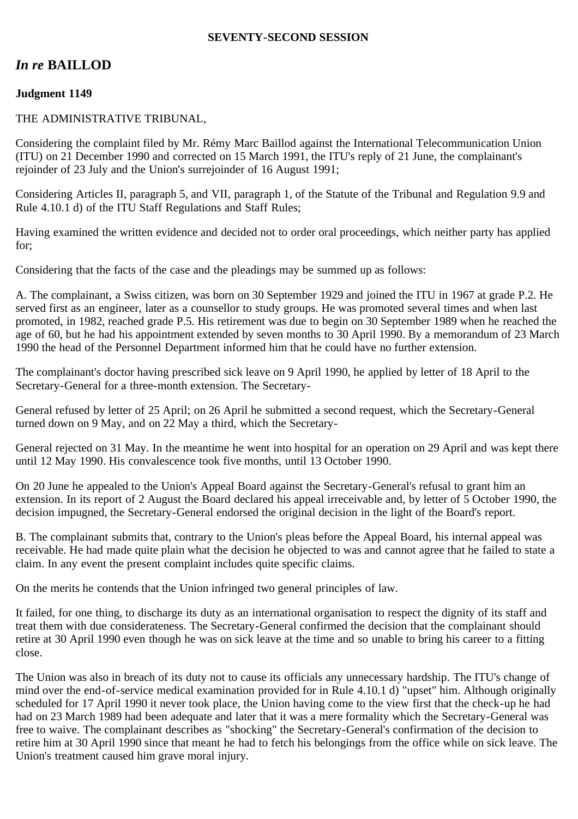### **SEVENTY-SECOND SESSION**

# *In re* **BAILLOD**

## **Judgment 1149**

## THE ADMINISTRATIVE TRIBUNAL,

Considering the complaint filed by Mr. Rémy Marc Baillod against the International Telecommunication Union (ITU) on 21 December 1990 and corrected on 15 March 1991, the ITU's reply of 21 June, the complainant's rejoinder of 23 July and the Union's surrejoinder of 16 August 1991;

Considering Articles II, paragraph 5, and VII, paragraph 1, of the Statute of the Tribunal and Regulation 9.9 and Rule 4.10.1 d) of the ITU Staff Regulations and Staff Rules;

Having examined the written evidence and decided not to order oral proceedings, which neither party has applied for;

Considering that the facts of the case and the pleadings may be summed up as follows:

A. The complainant, a Swiss citizen, was born on 30 September 1929 and joined the ITU in 1967 at grade P.2. He served first as an engineer, later as a counsellor to study groups. He was promoted several times and when last promoted, in 1982, reached grade P.5. His retirement was due to begin on 30 September 1989 when he reached the age of 60, but he had his appointment extended by seven months to 30 April 1990. By a memorandum of 23 March 1990 the head of the Personnel Department informed him that he could have no further extension.

The complainant's doctor having prescribed sick leave on 9 April 1990, he applied by letter of 18 April to the Secretary-General for a three-month extension. The Secretary-

General refused by letter of 25 April; on 26 April he submitted a second request, which the Secretary-General turned down on 9 May, and on 22 May a third, which the Secretary-

General rejected on 31 May. In the meantime he went into hospital for an operation on 29 April and was kept there until 12 May 1990. His convalescence took five months, until 13 October 1990.

On 20 June he appealed to the Union's Appeal Board against the Secretary-General's refusal to grant him an extension. In its report of 2 August the Board declared his appeal irreceivable and, by letter of 5 October 1990, the decision impugned, the Secretary-General endorsed the original decision in the light of the Board's report.

B. The complainant submits that, contrary to the Union's pleas before the Appeal Board, his internal appeal was receivable. He had made quite plain what the decision he objected to was and cannot agree that he failed to state a claim. In any event the present complaint includes quite specific claims.

On the merits he contends that the Union infringed two general principles of law.

It failed, for one thing, to discharge its duty as an international organisation to respect the dignity of its staff and treat them with due considerateness. The Secretary-General confirmed the decision that the complainant should retire at 30 April 1990 even though he was on sick leave at the time and so unable to bring his career to a fitting close.

The Union was also in breach of its duty not to cause its officials any unnecessary hardship. The ITU's change of mind over the end-of-service medical examination provided for in Rule 4.10.1 d) "upset" him. Although originally scheduled for 17 April 1990 it never took place, the Union having come to the view first that the check-up he had had on 23 March 1989 had been adequate and later that it was a mere formality which the Secretary-General was free to waive. The complainant describes as "shocking" the Secretary-General's confirmation of the decision to retire him at 30 April 1990 since that meant he had to fetch his belongings from the office while on sick leave. The Union's treatment caused him grave moral injury.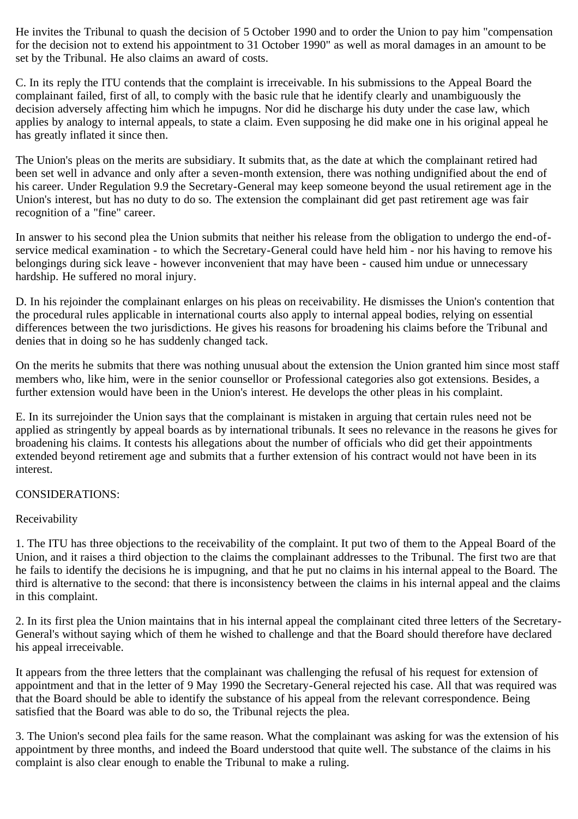He invites the Tribunal to quash the decision of 5 October 1990 and to order the Union to pay him "compensation for the decision not to extend his appointment to 31 October 1990" as well as moral damages in an amount to be set by the Tribunal. He also claims an award of costs.

C. In its reply the ITU contends that the complaint is irreceivable. In his submissions to the Appeal Board the complainant failed, first of all, to comply with the basic rule that he identify clearly and unambiguously the decision adversely affecting him which he impugns. Nor did he discharge his duty under the case law, which applies by analogy to internal appeals, to state a claim. Even supposing he did make one in his original appeal he has greatly inflated it since then.

The Union's pleas on the merits are subsidiary. It submits that, as the date at which the complainant retired had been set well in advance and only after a seven-month extension, there was nothing undignified about the end of his career. Under Regulation 9.9 the Secretary-General may keep someone beyond the usual retirement age in the Union's interest, but has no duty to do so. The extension the complainant did get past retirement age was fair recognition of a "fine" career.

In answer to his second plea the Union submits that neither his release from the obligation to undergo the end-ofservice medical examination - to which the Secretary-General could have held him - nor his having to remove his belongings during sick leave - however inconvenient that may have been - caused him undue or unnecessary hardship. He suffered no moral injury.

D. In his rejoinder the complainant enlarges on his pleas on receivability. He dismisses the Union's contention that the procedural rules applicable in international courts also apply to internal appeal bodies, relying on essential differences between the two jurisdictions. He gives his reasons for broadening his claims before the Tribunal and denies that in doing so he has suddenly changed tack.

On the merits he submits that there was nothing unusual about the extension the Union granted him since most staff members who, like him, were in the senior counsellor or Professional categories also got extensions. Besides, a further extension would have been in the Union's interest. He develops the other pleas in his complaint.

E. In its surrejoinder the Union says that the complainant is mistaken in arguing that certain rules need not be applied as stringently by appeal boards as by international tribunals. It sees no relevance in the reasons he gives for broadening his claims. It contests his allegations about the number of officials who did get their appointments extended beyond retirement age and submits that a further extension of his contract would not have been in its interest.

#### CONSIDERATIONS:

#### Receivability

1. The ITU has three objections to the receivability of the complaint. It put two of them to the Appeal Board of the Union, and it raises a third objection to the claims the complainant addresses to the Tribunal. The first two are that he fails to identify the decisions he is impugning, and that he put no claims in his internal appeal to the Board. The third is alternative to the second: that there is inconsistency between the claims in his internal appeal and the claims in this complaint.

2. In its first plea the Union maintains that in his internal appeal the complainant cited three letters of the Secretary-General's without saying which of them he wished to challenge and that the Board should therefore have declared his appeal irreceivable.

It appears from the three letters that the complainant was challenging the refusal of his request for extension of appointment and that in the letter of 9 May 1990 the Secretary-General rejected his case. All that was required was that the Board should be able to identify the substance of his appeal from the relevant correspondence. Being satisfied that the Board was able to do so, the Tribunal rejects the plea.

3. The Union's second plea fails for the same reason. What the complainant was asking for was the extension of his appointment by three months, and indeed the Board understood that quite well. The substance of the claims in his complaint is also clear enough to enable the Tribunal to make a ruling.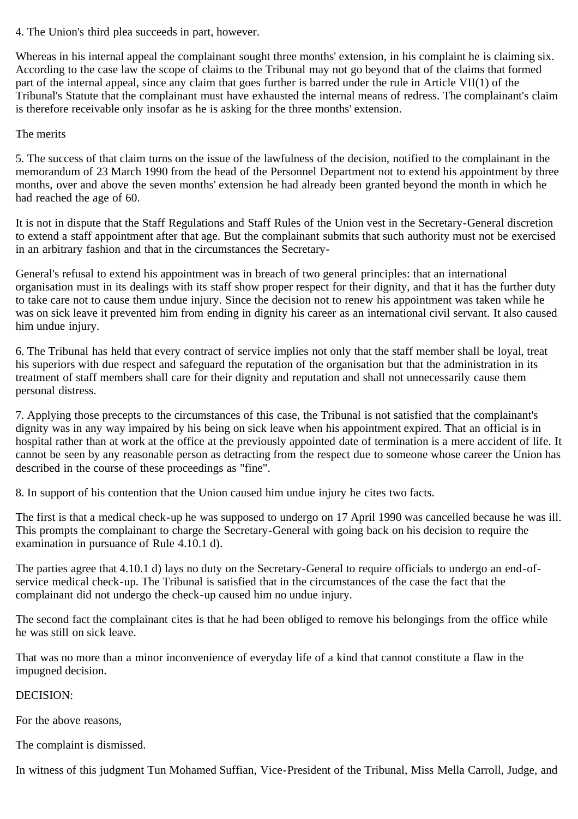4. The Union's third plea succeeds in part, however.

Whereas in his internal appeal the complainant sought three months' extension, in his complaint he is claiming six. According to the case law the scope of claims to the Tribunal may not go beyond that of the claims that formed part of the internal appeal, since any claim that goes further is barred under the rule in Article VII(1) of the Tribunal's Statute that the complainant must have exhausted the internal means of redress. The complainant's claim is therefore receivable only insofar as he is asking for the three months' extension.

The merits

5. The success of that claim turns on the issue of the lawfulness of the decision, notified to the complainant in the memorandum of 23 March 1990 from the head of the Personnel Department not to extend his appointment by three months, over and above the seven months' extension he had already been granted beyond the month in which he had reached the age of 60.

It is not in dispute that the Staff Regulations and Staff Rules of the Union vest in the Secretary-General discretion to extend a staff appointment after that age. But the complainant submits that such authority must not be exercised in an arbitrary fashion and that in the circumstances the Secretary-

General's refusal to extend his appointment was in breach of two general principles: that an international organisation must in its dealings with its staff show proper respect for their dignity, and that it has the further duty to take care not to cause them undue injury. Since the decision not to renew his appointment was taken while he was on sick leave it prevented him from ending in dignity his career as an international civil servant. It also caused him undue injury.

6. The Tribunal has held that every contract of service implies not only that the staff member shall be loyal, treat his superiors with due respect and safeguard the reputation of the organisation but that the administration in its treatment of staff members shall care for their dignity and reputation and shall not unnecessarily cause them personal distress.

7. Applying those precepts to the circumstances of this case, the Tribunal is not satisfied that the complainant's dignity was in any way impaired by his being on sick leave when his appointment expired. That an official is in hospital rather than at work at the office at the previously appointed date of termination is a mere accident of life. It cannot be seen by any reasonable person as detracting from the respect due to someone whose career the Union has described in the course of these proceedings as "fine".

8. In support of his contention that the Union caused him undue injury he cites two facts.

The first is that a medical check-up he was supposed to undergo on 17 April 1990 was cancelled because he was ill. This prompts the complainant to charge the Secretary-General with going back on his decision to require the examination in pursuance of Rule 4.10.1 d).

The parties agree that 4.10.1 d) lays no duty on the Secretary-General to require officials to undergo an end-ofservice medical check-up. The Tribunal is satisfied that in the circumstances of the case the fact that the complainant did not undergo the check-up caused him no undue injury.

The second fact the complainant cites is that he had been obliged to remove his belongings from the office while he was still on sick leave.

That was no more than a minor inconvenience of everyday life of a kind that cannot constitute a flaw in the impugned decision.

DECISION:

For the above reasons,

The complaint is dismissed.

In witness of this judgment Tun Mohamed Suffian, Vice-President of the Tribunal, Miss Mella Carroll, Judge, and